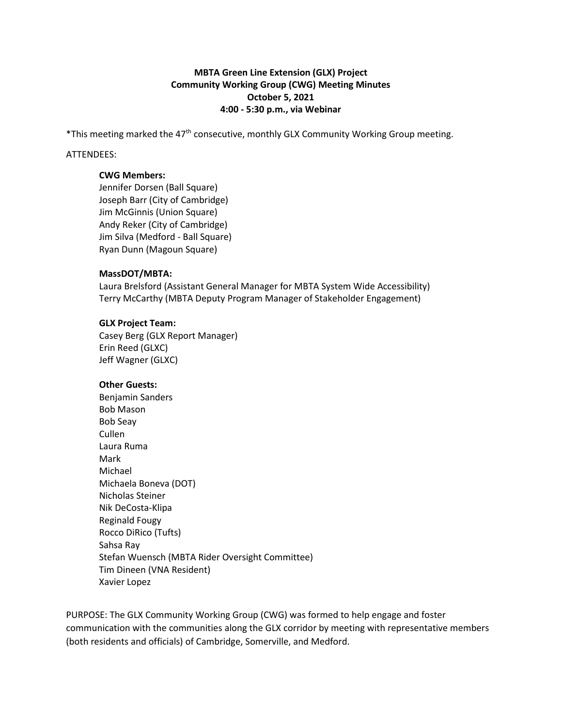# **MBTA Green Line Extension (GLX) Project Community Working Group (CWG) Meeting Minutes October 5, 2021 4:00 - 5:30 p.m., via Webinar**

\*This meeting marked the  $47<sup>th</sup>$  consecutive, monthly GLX Community Working Group meeting.

#### ATTENDEES:

#### **CWG Members:**

Jennifer Dorsen (Ball Square) Joseph Barr (City of Cambridge) Jim McGinnis (Union Square) Andy Reker (City of Cambridge) Jim Silva (Medford - Ball Square) Ryan Dunn (Magoun Square)

## **MassDOT/MBTA:**

Laura Brelsford (Assistant General Manager for MBTA System Wide Accessibility) Terry McCarthy (MBTA Deputy Program Manager of Stakeholder Engagement)

## **GLX Project Team:**

Casey Berg (GLX Report Manager) Erin Reed (GLXC) Jeff Wagner (GLXC)

# **Other Guests:**

Benjamin Sanders Bob Mason Bob Seay Cullen Laura Ruma Mark Michael Michaela Boneva (DOT) Nicholas Steiner Nik DeCosta-Klipa Reginald Fougy Rocco DiRico (Tufts) Sahsa Ray Stefan Wuensch (MBTA Rider Oversight Committee) Tim Dineen (VNA Resident) Xavier Lopez

PURPOSE: The GLX Community Working Group (CWG) was formed to help engage and foster communication with the communities along the GLX corridor by meeting with representative members (both residents and officials) of Cambridge, Somerville, and Medford.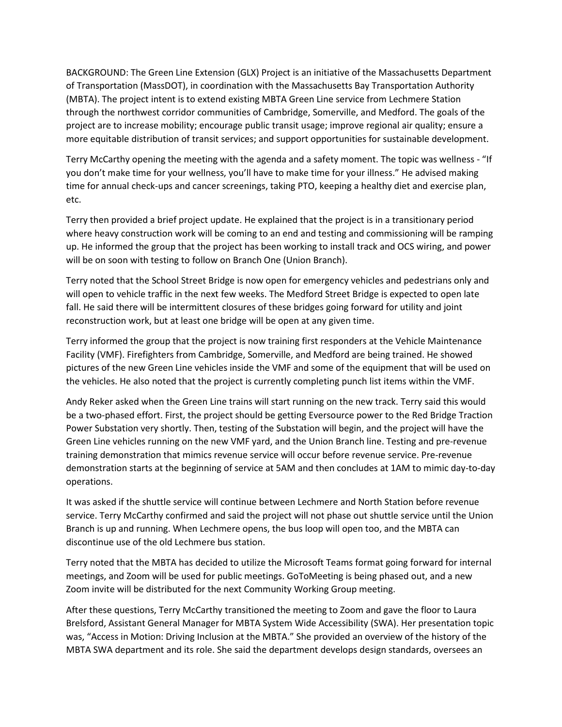BACKGROUND: The Green Line Extension (GLX) Project is an initiative of the Massachusetts Department of Transportation (MassDOT), in coordination with the Massachusetts Bay Transportation Authority (MBTA). The project intent is to extend existing MBTA Green Line service from Lechmere Station through the northwest corridor communities of Cambridge, Somerville, and Medford. The goals of the project are to increase mobility; encourage public transit usage; improve regional air quality; ensure a more equitable distribution of transit services; and support opportunities for sustainable development.

Terry McCarthy opening the meeting with the agenda and a safety moment. The topic was wellness - "If you don't make time for your wellness, you'll have to make time for your illness." He advised making time for annual check-ups and cancer screenings, taking PTO, keeping a healthy diet and exercise plan, etc.

Terry then provided a brief project update. He explained that the project is in a transitionary period where heavy construction work will be coming to an end and testing and commissioning will be ramping up. He informed the group that the project has been working to install track and OCS wiring, and power will be on soon with testing to follow on Branch One (Union Branch).

Terry noted that the School Street Bridge is now open for emergency vehicles and pedestrians only and will open to vehicle traffic in the next few weeks. The Medford Street Bridge is expected to open late fall. He said there will be intermittent closures of these bridges going forward for utility and joint reconstruction work, but at least one bridge will be open at any given time.

Terry informed the group that the project is now training first responders at the Vehicle Maintenance Facility (VMF). Firefighters from Cambridge, Somerville, and Medford are being trained. He showed pictures of the new Green Line vehicles inside the VMF and some of the equipment that will be used on the vehicles. He also noted that the project is currently completing punch list items within the VMF.

Andy Reker asked when the Green Line trains will start running on the new track. Terry said this would be a two-phased effort. First, the project should be getting Eversource power to the Red Bridge Traction Power Substation very shortly. Then, testing of the Substation will begin, and the project will have the Green Line vehicles running on the new VMF yard, and the Union Branch line. Testing and pre-revenue training demonstration that mimics revenue service will occur before revenue service. Pre-revenue demonstration starts at the beginning of service at 5AM and then concludes at 1AM to mimic day-to-day operations.

It was asked if the shuttle service will continue between Lechmere and North Station before revenue service. Terry McCarthy confirmed and said the project will not phase out shuttle service until the Union Branch is up and running. When Lechmere opens, the bus loop will open too, and the MBTA can discontinue use of the old Lechmere bus station.

Terry noted that the MBTA has decided to utilize the Microsoft Teams format going forward for internal meetings, and Zoom will be used for public meetings. GoToMeeting is being phased out, and a new Zoom invite will be distributed for the next Community Working Group meeting.

After these questions, Terry McCarthy transitioned the meeting to Zoom and gave the floor to Laura Brelsford, Assistant General Manager for MBTA System Wide Accessibility (SWA). Her presentation topic was, "Access in Motion: Driving Inclusion at the MBTA." She provided an overview of the history of the MBTA SWA department and its role. She said the department develops design standards, oversees an